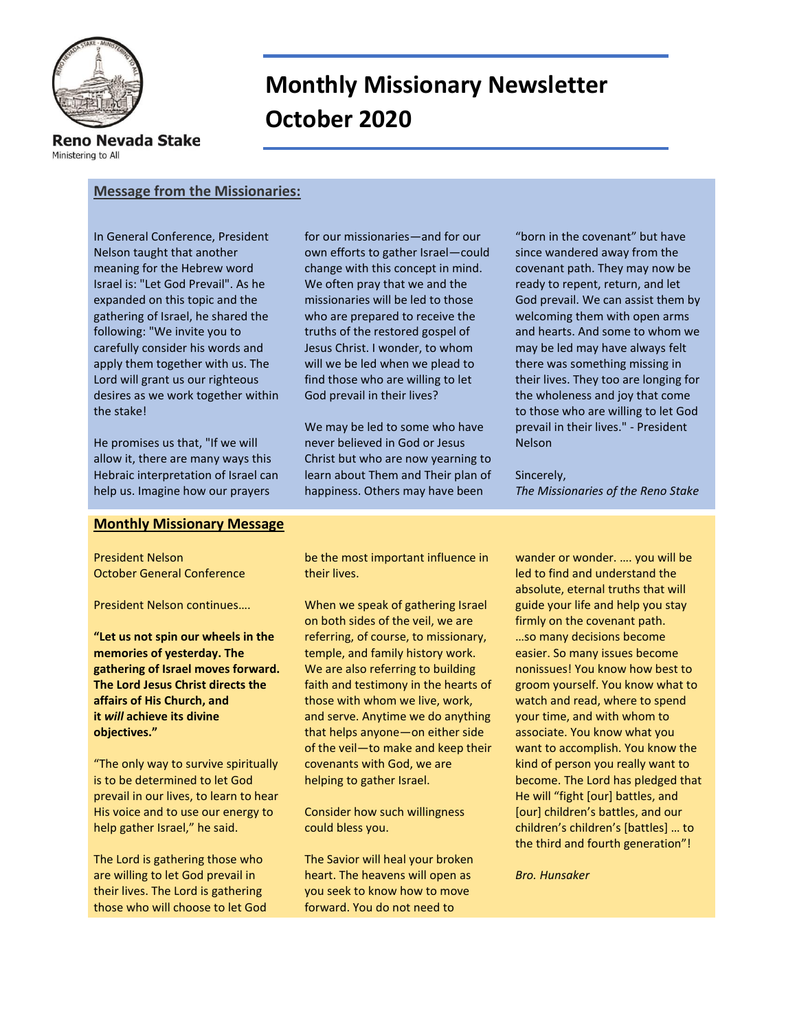

# **Monthly Missionary Newsletter October 2020**

Reno Nevada Stake

Ministering to All

## **Message from the Missionaries:**

In General Conference, President Nelson taught that another meaning for the Hebrew word Israel is: "Let God Prevail". As he expanded on this topic and the gathering of Israel, he shared the following: "We invite you to carefully consider his words and apply them together with us. The Lord will grant us our righteous desires as we work together within the stake!

He promises us that, "If we will allow it, there are many ways this Hebraic interpretation of Israel can help us. Imagine how our prayers

### **Monthly Missionary Message**

President Nelson October General Conference

President Nelson continues….

**"Let us not spin our wheels in the memories of yesterday. The gathering of Israel moves forward. The Lord Jesus Christ directs the affairs of His Church, and it** *will* **achieve its divine objectives."**

"The only way to survive spiritually is to be determined to let God prevail in our lives, to learn to hear His voice and to use our energy to help gather Israel," he said.

The Lord is gathering those who are willing to let God prevail in their lives. The Lord is gathering those who will choose to let God

for our missionaries—and for our own efforts to gather Israel—could change with this concept in mind. We often pray that we and the missionaries will be led to those who are prepared to receive the truths of the restored gospel of Jesus Christ. I wonder, to whom will we be led when we plead to find those who are willing to let God prevail in their lives?

We may be led to some who have never believed in God or Jesus Christ but who are now yearning to learn about Them and Their plan of happiness. Others may have been

"born in the covenant" but have since wandered away from the covenant path. They may now be ready to repent, return, and let God prevail. We can assist them by welcoming them with open arms and hearts. And some to whom we may be led may have always felt there was something missing in their lives. They too are longing for the wholeness and joy that come to those who are willing to let God prevail in their lives." - President Nelson

Sincerely, *The Missionaries of the Reno Stake*

be the most important influence in their lives.

When we speak of gathering Israel on both sides of the veil, we are referring, of course, to missionary, temple, and family history work. We are also referring to building faith and testimony in the hearts of those with whom we live, work, and serve. Anytime we do anything that helps anyone—on either side of the veil—to make and keep their covenants with God, we are helping to gather Israel.

Consider how such willingness could bless you.

The Savior will heal your broken heart. The heavens will open as you seek to know how to move forward. You do not need to

wander or wonder. …. you will be led to find and understand the absolute, eternal truths that will guide your life and help you stay firmly on the covenant path. …so many decisions become easier. So many issues become nonissues! You know how best to groom yourself. You know what to watch and read, where to spend your time, and with whom to associate. You know what you want to accomplish. You know the kind of person you really want to become. The Lord has pledged that He will "fight [our] battles, and [our] children's battles, and our children's children's [battles] … to the third and fourth generation"!

*Bro. Hunsaker*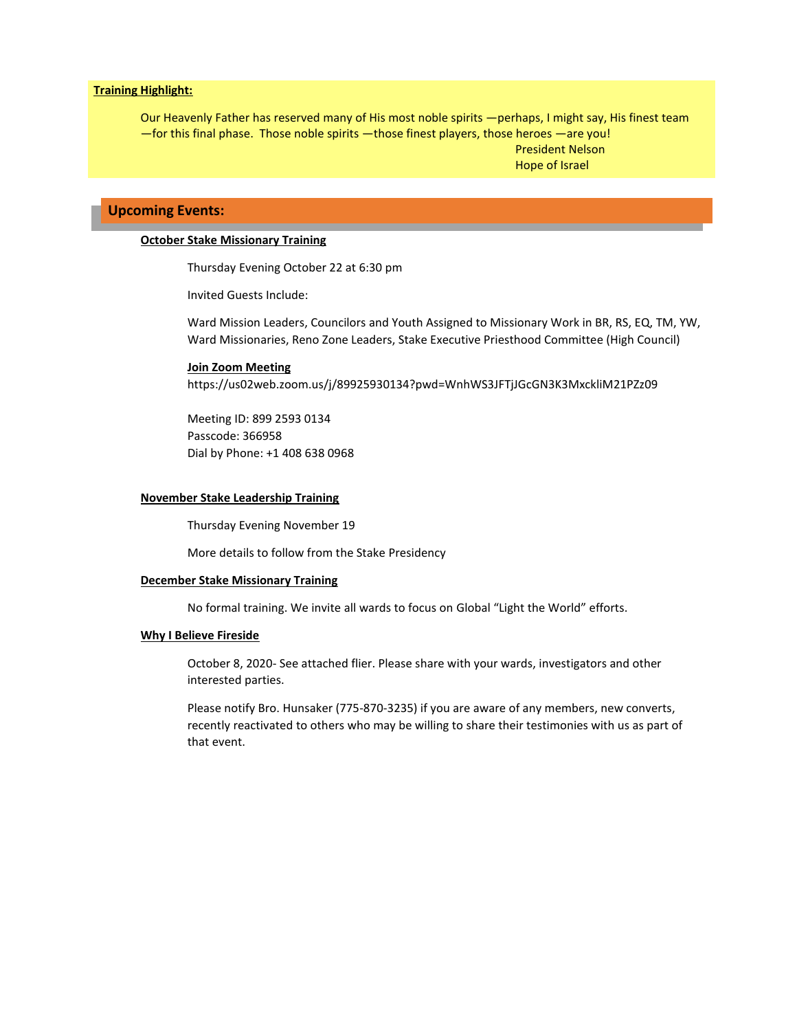#### **Training Highlight:**

Our Heavenly Father has reserved many of His most noble spirits —perhaps, I might say, His finest team —for this final phase. Those noble spirits —those finest players, those heroes —are you! President Nelson Hope of Israel

## **Upcoming Events:**

#### **October Stake Missionary Training**

Thursday Evening October 22 at 6:30 pm

Invited Guests Include:

Ward Mission Leaders, Councilors and Youth Assigned to Missionary Work in BR, RS, EQ, TM, YW, Ward Missionaries, Reno Zone Leaders, Stake Executive Priesthood Committee (High Council)

#### **Join Zoom Meeting**

[https://us02web.zoom.us/j/89925930134?pwd=WnhWS3JFTjJGcGN3K3MxckliM21PZz09](https://www.google.com/url?q=https://us02web.zoom.us/j/89925930134?pwd%3DWnhWS3JFTjJGcGN3K3MxckliM21PZz09&sa=D&source=calendar&usd=2&usg=AOvVaw3C2wtn8yLJVgAegVNQfDV3)

Meeting ID: 899 2593 0134 Passcode: 366958 Dial by Phone: +1 408 638 0968

#### **November Stake Leadership Training**

Thursday Evening November 19

More details to follow from the Stake Presidency

#### **December Stake Missionary Training**

No formal training. We invite all wards to focus on Global "Light the World" efforts.

#### **Why I Believe Fireside**

October 8, 2020- See attached flier. Please share with your wards, investigators and other interested parties.

Please notify Bro. Hunsaker (775-870-3235) if you are aware of any members, new converts, recently reactivated to others who may be willing to share their testimonies with us as part of that event.